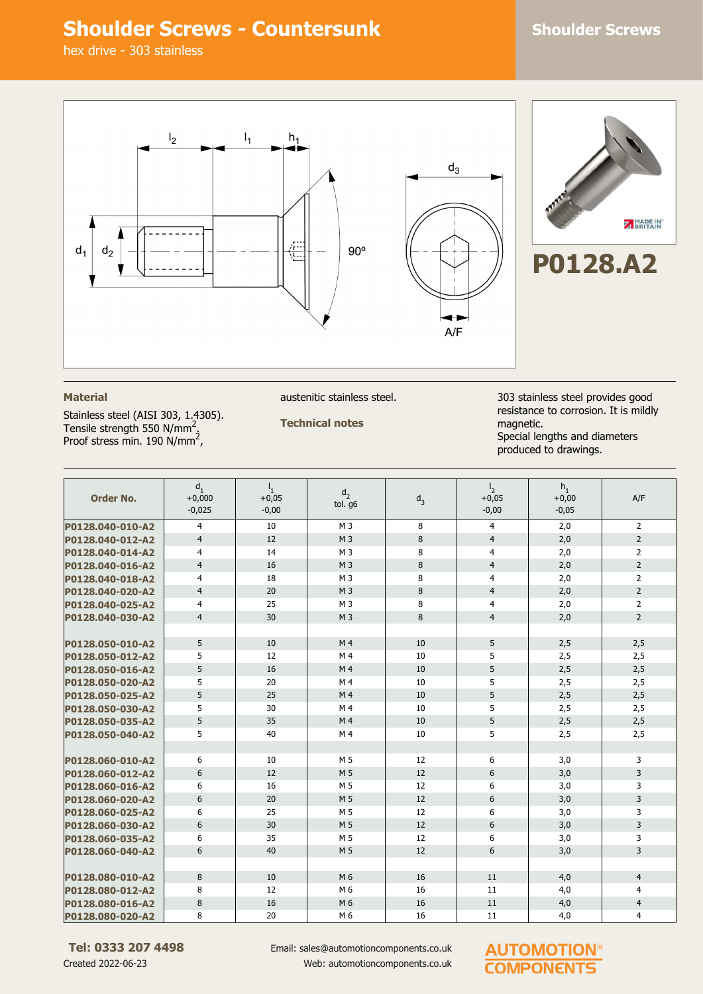## **Shoulder Screws - Countersunk Shoulder Screws**

hex drive - 303 stainless



### **Material**

Stainless steel (AISI 303, 1.4305). Tensile strength 550 N/mm<sup>2</sup>.<br>Proof stress min. 190 N/mm<sup>2</sup>,

austenitic stainless steel.

**Technical notes**

303 stainless steel provides good resistance to corrosion. It is mildly magnetic. Special lengths and diameters produced to drawings.

| <b>Order No.</b> | d.<br>$+0,000$<br>$-0,025$ | $I_{1}$<br>$+0,05$<br>$-0,00$ | d <sub>2</sub><br>tol. g6 | $d_3$ | $\mathsf{I}_2$<br>$+0,05$<br>$-0,00$ | $h_1$<br>$+0,00$<br>$-0,05$ | A/F            |
|------------------|----------------------------|-------------------------------|---------------------------|-------|--------------------------------------|-----------------------------|----------------|
| P0128.040-010-A2 | $\overline{4}$             | 10                            | M <sub>3</sub>            | 8     | $\overline{4}$                       | 2,0                         | 2              |
| P0128.040-012-A2 | $\overline{4}$             | 12                            | M <sub>3</sub>            | 8     | $\overline{4}$                       | 2,0                         | $\overline{2}$ |
| P0128.040-014-A2 | $\overline{4}$             | 14                            | M <sub>3</sub>            | 8     | $\overline{4}$                       | 2,0                         | $\overline{2}$ |
| P0128.040-016-A2 | $\overline{4}$             | 16                            | M <sub>3</sub>            | 8     | $\overline{4}$                       | 2,0                         | $\overline{2}$ |
| P0128.040-018-A2 | $\overline{4}$             | 18                            | M <sub>3</sub>            | 8     | 4                                    | 2,0                         | $\overline{2}$ |
| P0128.040-020-A2 | $\overline{4}$             | 20                            | M <sub>3</sub>            | 8     | $\overline{4}$                       | 2,0                         | $\overline{2}$ |
| P0128.040-025-A2 | 4                          | 25                            | M <sub>3</sub>            | 8     | $\overline{4}$                       | 2,0                         | $\overline{2}$ |
| P0128.040-030-A2 | $\overline{4}$             | 30                            | M <sub>3</sub>            | 8     | $\overline{4}$                       | 2,0                         | $\overline{2}$ |
|                  |                            |                               |                           |       |                                      |                             |                |
| P0128.050-010-A2 | 5                          | 10                            | M <sub>4</sub>            | 10    | 5                                    | 2,5                         | 2,5            |
| P0128.050-012-A2 | 5                          | 12                            | M <sub>4</sub>            | 10    | 5                                    | 2,5                         | 2,5            |
| P0128.050-016-A2 | 5                          | 16                            | M <sub>4</sub>            | 10    | 5                                    | 2,5                         | 2,5            |
| P0128.050-020-A2 | 5                          | 20                            | M <sub>4</sub>            | 10    | 5                                    | 2,5                         | 2,5            |
| P0128.050-025-A2 | 5                          | 25                            | M <sub>4</sub>            | 10    | 5                                    | 2,5                         | 2,5            |
| P0128.050-030-A2 | 5                          | 30                            | M 4                       | 10    | 5                                    | 2,5                         | 2,5            |
| P0128.050-035-A2 | 5                          | 35                            | M <sub>4</sub>            | 10    | 5                                    | 2,5                         | 2,5            |
| P0128.050-040-A2 | 5                          | 40                            | M <sub>4</sub>            | 10    | 5                                    | 2,5                         | 2,5            |
|                  |                            |                               |                           |       |                                      |                             |                |
| P0128.060-010-A2 | 6                          | 10                            | M 5                       | 12    | 6                                    | 3,0                         | 3              |
| P0128.060-012-A2 | 6                          | 12                            | M 5                       | 12    | 6                                    | 3,0                         | 3              |
| P0128.060-016-A2 | 6                          | 16                            | M <sub>5</sub>            | 12    | 6                                    | 3,0                         | 3              |
| P0128.060-020-A2 | 6                          | 20                            | M 5                       | 12    | 6                                    | 3,0                         | $\overline{3}$ |
| P0128.060-025-A2 | 6                          | 25                            | M 5                       | 12    | 6                                    | 3,0                         | 3              |
| P0128.060-030-A2 | 6                          | 30                            | M 5                       | 12    | 6                                    | 3,0                         | 3              |
| P0128.060-035-A2 | 6                          | 35                            | M 5                       | 12    | 6                                    | 3,0                         | 3              |
| P0128.060-040-A2 | 6                          | 40                            | M 5                       | 12    | 6                                    | 3,0                         | 3              |
|                  |                            |                               |                           |       |                                      |                             |                |
| P0128.080-010-A2 | 8                          | 10                            | M 6                       | 16    | 11                                   | 4,0                         | $\overline{4}$ |
| P0128.080-012-A2 | 8                          | 12                            | M 6                       | 16    | 11                                   | 4,0                         | $\overline{4}$ |
| P0128.080-016-A2 | 8                          | 16                            | M 6                       | 16    | 11                                   | 4,0                         | $\overline{4}$ |
| P0128.080-020-A2 | 8                          | 20                            | M 6                       | 16    | 11                                   | 4,0                         | $\overline{4}$ |

**Tel: 0333 207 4498** Created 2022-06-23

Email: sales@automotioncomponents.co.uk Web: automotioncomponents.co.uk

### **AUTOMOTION® COMPONENTS**